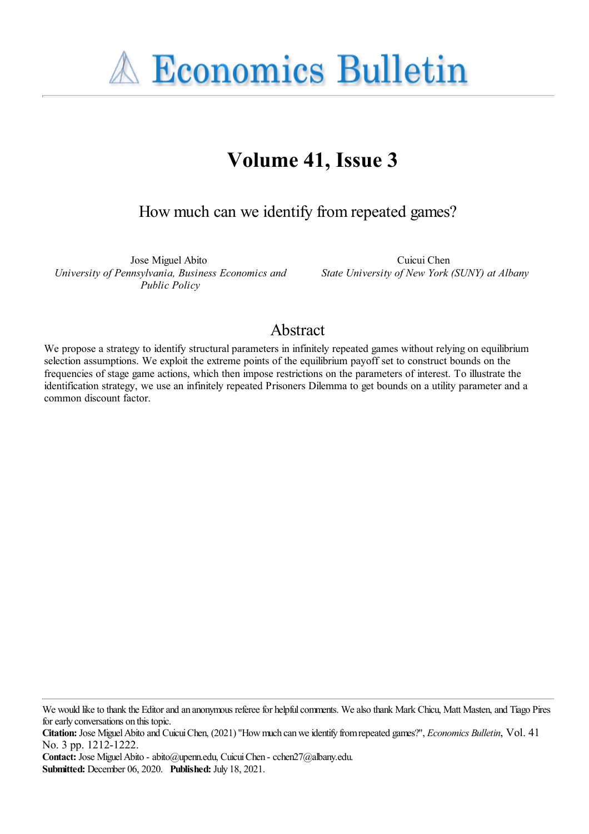**A Economics Bulletin** 

# **Volume 41, Issue 3**

How much can we identify fromrepeated games?

Jose Miguel Abito *University of Pennsylvania, Business Economics and Public Policy*

Cuicui Chen *State University of New York (SUNY) at Albany*

# Abstract

We propose a strategy to identify structural parameters in infinitely repeated games without relying on equilibrium selection assumptions. We exploit the extreme points of the equilibrium payoff set to construct bounds on the frequencies of stage game actions, which then impose restrictions on the parameters of interest. To illustrate the identification strategy, we use an infinitely repeated Prisoners Dilemma to get bounds on a utility parameter and a common discount factor.

**Contact:** Jose MiguelAbito - abito@upenn.edu, CuicuiChen - cchen27@albany.edu. **Submitted:** December 06, 2020. **Published:** July 18, 2021.

We would like to thank the Editor and an anonymous referee for helpful comments. We also thank Mark Chicu, Matt Masten, and Tiago Pires for early conversations on this topic.

**Citation:** Jose Miguel Abito and Cuicui Chen, (2021) "How much can we identify from repeated games?", *Economics Bulletin*, Vol. 41 No. 3 pp. 1212-1222.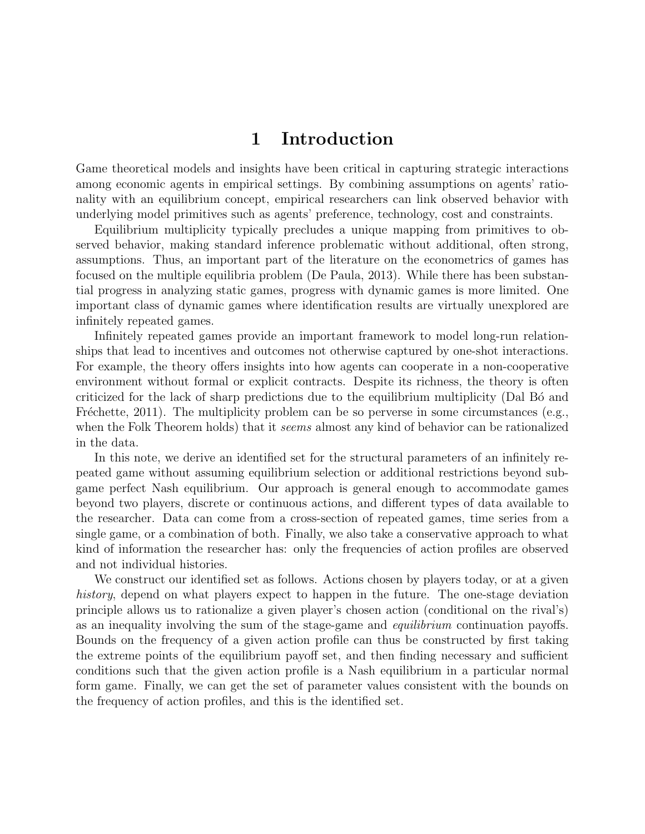# 1 Introduction

Game theoretical models and insights have been critical in capturing strategic interactions among economic agents in empirical settings. By combining assumptions on agents' rationality with an equilibrium concept, empirical researchers can link observed behavior with underlying model primitives such as agents' preference, technology, cost and constraints.

Equilibrium multiplicity typically precludes a unique mapping from primitives to observed behavior, making standard inference problematic without additional, often strong, assumptions. Thus, an important part of the literature on the econometrics of games has focused on the multiple equilibria problem (De Paula, 2013). While there has been substantial progress in analyzing static games, progress with dynamic games is more limited. One important class of dynamic games where identification results are virtually unexplored are infinitely repeated games.

Infinitely repeated games provide an important framework to model long-run relationships that lead to incentives and outcomes not otherwise captured by one-shot interactions. For example, the theory offers insights into how agents can cooperate in a non-cooperative environment without formal or explicit contracts. Despite its richness, the theory is often criticized for the lack of sharp predictions due to the equilibrium multiplicity (Dal Bo and Fréchette, 2011). The multiplicity problem can be so perverse in some circumstances (e.g., when the Folk Theorem holds) that it *seems* almost any kind of behavior can be rationalized in the data.

In this note, we derive an identified set for the structural parameters of an infinitely repeated game without assuming equilibrium selection or additional restrictions beyond subgame perfect Nash equilibrium. Our approach is general enough to accommodate games beyond two players, discrete or continuous actions, and different types of data available to the researcher. Data can come from a cross-section of repeated games, time series from a single game, or a combination of both. Finally, we also take a conservative approach to what kind of information the researcher has: only the frequencies of action profiles are observed and not individual histories.

We construct our identified set as follows. Actions chosen by players today, or at a given history, depend on what players expect to happen in the future. The one-stage deviation principle allows us to rationalize a given player's chosen action (conditional on the rival's) as an inequality involving the sum of the stage-game and equilibrium continuation payoffs. Bounds on the frequency of a given action profile can thus be constructed by first taking the extreme points of the equilibrium payoff set, and then finding necessary and sufficient conditions such that the given action profile is a Nash equilibrium in a particular normal form game. Finally, we can get the set of parameter values consistent with the bounds on the frequency of action profiles, and this is the identified set.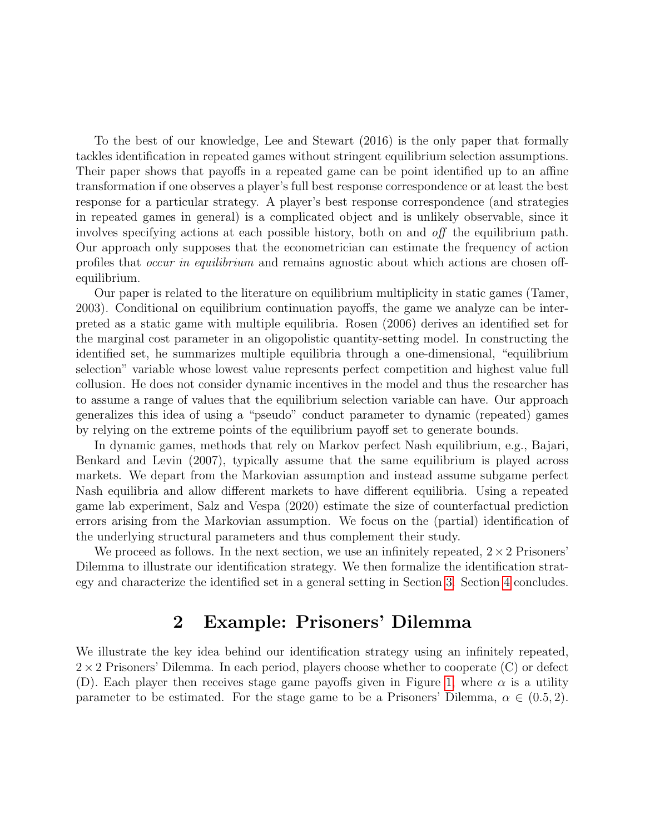To the best of our knowledge, Lee and Stewart (2016) is the only paper that formally tackles identification in repeated games without stringent equilibrium selection assumptions. Their paper shows that payoffs in a repeated game can be point identified up to an affine transformation if one observes a player's full best response correspondence or at least the best response for a particular strategy. A player's best response correspondence (and strategies in repeated games in general) is a complicated object and is unlikely observable, since it involves specifying actions at each possible history, both on and off the equilibrium path. Our approach only supposes that the econometrician can estimate the frequency of action profiles that occur in equilibrium and remains agnostic about which actions are chosen offequilibrium.

Our paper is related to the literature on equilibrium multiplicity in static games (Tamer, 2003). Conditional on equilibrium continuation payoffs, the game we analyze can be interpreted as a static game with multiple equilibria. Rosen (2006) derives an identified set for the marginal cost parameter in an oligopolistic quantity-setting model. In constructing the identified set, he summarizes multiple equilibria through a one-dimensional, "equilibrium selection" variable whose lowest value represents perfect competition and highest value full collusion. He does not consider dynamic incentives in the model and thus the researcher has to assume a range of values that the equilibrium selection variable can have. Our approach generalizes this idea of using a "pseudo" conduct parameter to dynamic (repeated) games by relying on the extreme points of the equilibrium payoff set to generate bounds.

In dynamic games, methods that rely on Markov perfect Nash equilibrium, e.g., Bajari, Benkard and Levin (2007), typically assume that the same equilibrium is played across markets. We depart from the Markovian assumption and instead assume subgame perfect Nash equilibria and allow different markets to have different equilibria. Using a repeated game lab experiment, Salz and Vespa (2020) estimate the size of counterfactual prediction errors arising from the Markovian assumption. We focus on the (partial) identification of the underlying structural parameters and thus complement their study.

We proceed as follows. In the next section, we use an infinitely repeated,  $2 \times 2$  Prisoners' Dilemma to illustrate our identification strategy. We then formalize the identification strategy and characterize the identified set in a general setting in Section 3. Section 4 concludes.

# 2 Example: Prisoners' Dilemma

<span id="page-2-0"></span>We illustrate the key idea behind our identification strategy using an infinitely repeated,  $2\times 2$  Prisoners' Dilemma. In each period, players choose whether to cooperate (C) or defect (D). Each player then receives stage game payoffs given in Figure 1, where  $\alpha$  is a utility parameter to be estimated. For the stage game to be a Prisoners' Dilemma,  $\alpha \in (0.5, 2)$ .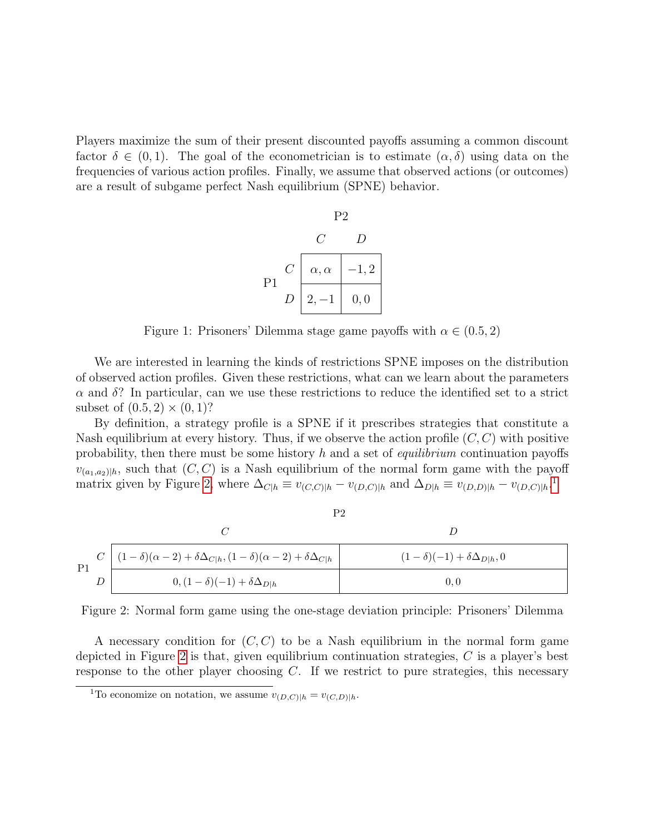<span id="page-3-2"></span>Players maximize the sum of their present discounted payoffs assuming a common discount factor  $\delta \in (0,1)$ . The goal of the econometrician is to estimate  $(\alpha, \delta)$  using data on the frequencies of various action profiles. Finally, we assume that observed actions (or outcomes) are a result of subgame perfect Nash equilibrium (SPNE) behavior.



Figure 1: Prisoners' Dilemma stage game payoffs with  $\alpha \in (0.5, 2)$ 

We are interested in learning the kinds of restrictions SPNE imposes on the distribution of observed action profiles. Given these restrictions, what can we learn about the parameters  $\alpha$  and  $\delta$ ? In particular, can we use these restrictions to reduce the identified set to a strict subset of  $(0.5, 2) \times (0, 1)$ ?

By definition, a strategy profile is a SPNE if it prescribes strategies that constitute a Nash equilibrium at every history. Thus, if we observe the action profile  $(C, C)$  with positive probability, then there must be some history  $h$  and a set of *equilibrium* continuation payoffs  $v_{(a_1,a_2)|h}$ , such that  $(C, C)$  is a Nash equilibrium of the normal form game with the payoff matrix given by Figure [2,](#page-3-0) where  $\Delta_{C|h} \equiv v_{(C,C)|h} - v_{(D,C)|h}$  and  $\Delta_{D|h} \equiv v_{(D,D)|h} - v_{(D,C)|h}$ .

<span id="page-3-0"></span>

|                | P2                                                                                          |                                           |
|----------------|---------------------------------------------------------------------------------------------|-------------------------------------------|
|                |                                                                                             |                                           |
| P <sub>1</sub> | $C \mid (1-\delta)(\alpha-2)+\delta \Delta_{C h}, (1-\delta)(\alpha-2)+\delta \Delta_{C h}$ | $(1-\delta)(-1) + \delta \Delta_{D h}, 0$ |
|                | $0, (1 - \delta)(-1) + \delta \Delta_{D h}$                                                 | 0.0                                       |

Figure 2: Normal form game using the one-stage deviation principle: Prisoners' Dilemma

A necessary condition for  $(C, C)$  to be a Nash equilibrium in the normal form game depicted in Figure [2](#page-3-0) is that, given equilibrium continuation strategies, C is a player's best response to the other player choosing  $C$ . If we restrict to pure strategies, this necessary

<span id="page-3-1"></span><sup>&</sup>lt;sup>1</sup>To economize on notation, we assume  $v_{(D,C)|h} = v_{(C,D)|h}$ .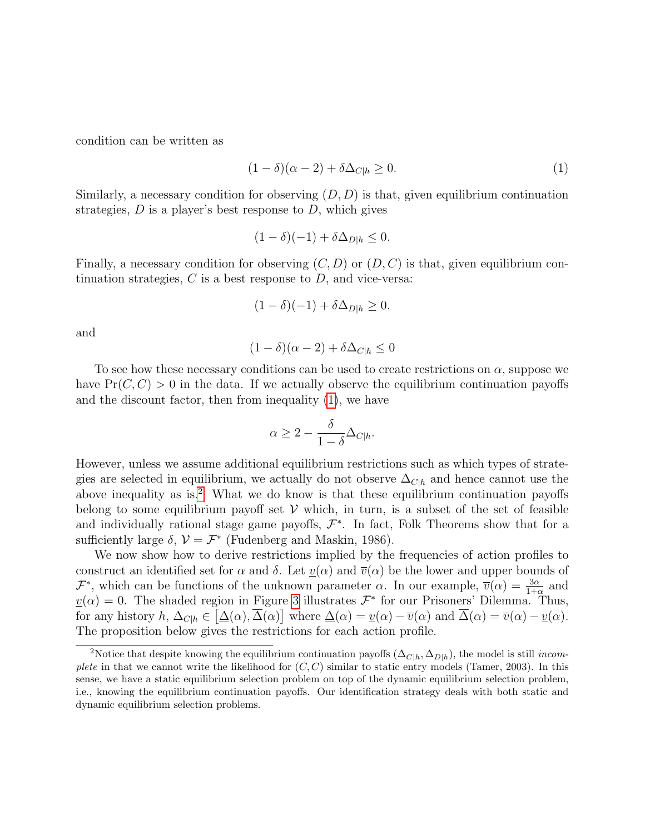condition can be written as

<span id="page-4-0"></span>
$$
(1 - \delta)(\alpha - 2) + \delta \Delta_{C|h} \ge 0.
$$
 (1)

Similarly, a necessary condition for observing  $(D, D)$  is that, given equilibrium continuation strategies,  $D$  is a player's best response to  $D$ , which gives

$$
(1 - \delta)(-1) + \delta \Delta_{D|h} \le 0.
$$

Finally, a necessary condition for observing  $(C, D)$  or  $(D, C)$  is that, given equilibrium continuation strategies,  $C$  is a best response to  $D$ , and vice-versa:

$$
(1 - \delta)(-1) + \delta \Delta_{D|h} \ge 0.
$$

and

$$
(1 - \delta)(\alpha - 2) + \delta \Delta_{C|h} \le 0
$$

To see how these necessary conditions can be used to create restrictions on  $\alpha$ , suppose we have  $Pr(C, C) > 0$  in the data. If we actually observe the equilibrium continuation payoffs and the discount factor, then from inequality [\(1\)](#page-4-0), we have

$$
\alpha \ge 2 - \frac{\delta}{1 - \delta} \Delta_{C|h}.
$$

However, unless we assume additional equilibrium restrictions such as which types of strategies are selected in equilibrium, we actually do not observe  $\Delta_{C|h}$  and hence cannot use the above inequality as is.<sup>[2](#page-4-1)</sup> What we do know is that these equilibrium continuation payoffs belong to some equilibrium payoff set  $V$  which, in turn, is a subset of the set of feasible and individually rational stage game payoffs,  $\mathcal{F}^*$ . In fact, Folk Theorems show that for a sufficiently large  $\delta$ ,  $\mathcal{V} = \mathcal{F}^*$  (Fudenberg and Maskin, 1986).

We now show how to derive restrictions implied by the frequencies of action profiles to construct an identified set for  $\alpha$  and  $\delta$ . Let  $\underline{v}(\alpha)$  and  $\overline{v}(\alpha)$  be the lower and upper bounds of  $\mathcal{F}^*$ , which can be functions of the unknown parameter  $\alpha$ . In our example,  $\overline{v}(\alpha) = \frac{3\alpha}{1+\alpha}$  and  $v(\alpha) = 0$ . The shaded region in Figure 3 illustrates  $\mathcal{F}^*$  for our Prisoners' Dilemma. Thus, for any history  $h, \Delta_{C|h} \in [\underline{\Delta}(\alpha), \overline{\Delta}(\alpha)]$  where  $\underline{\Delta}(\alpha) = \underline{v}(\alpha) - \overline{v}(\alpha)$  and  $\overline{\Delta}(\alpha) = \overline{v}(\alpha) - \underline{v}(\alpha)$ . The proposition below gives the restrictions for each action profile.

<span id="page-4-1"></span><sup>&</sup>lt;sup>2</sup>Notice that despite knowing the equilibrium continuation payoffs ( $\Delta_{C|h}, \Delta_{D|h}$ ), the model is still *incom*plete in that we cannot write the likelihood for  $(C, C)$  similar to static entry models (Tamer, 2003). In this sense, we have a static equilibrium selection problem on top of the dynamic equilibrium selection problem, i.e., knowing the equilibrium continuation payoffs. Our identification strategy deals with both static and dynamic equilibrium selection problems.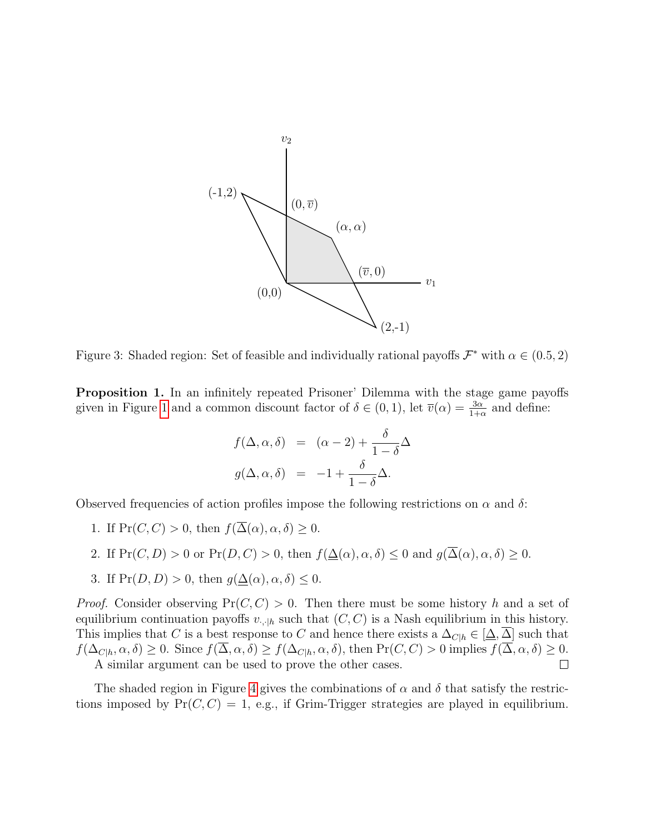

Figure 3: Shaded region: Set of feasible and individually rational payoffs  $\mathcal{F}^*$  with  $\alpha \in (0.5, 2)$ 

Proposition 1. In an infinitely repeated Prisoner' Dilemma with the stage game payoffs given in Figure [1](#page-3-2) and a common discount factor of  $\delta \in (0,1)$ , let  $\overline{v}(\alpha) = \frac{3\alpha}{1+\alpha}$  and define:

$$
f(\Delta, \alpha, \delta) = (\alpha - 2) + \frac{\delta}{1 - \delta} \Delta
$$

$$
g(\Delta, \alpha, \delta) = -1 + \frac{\delta}{1 - \delta} \Delta.
$$

Observed frequencies of action profiles impose the following restrictions on  $\alpha$  and  $\delta$ :

- 1. If  $Pr(C, C) > 0$ , then  $f(\overline{\Delta}(\alpha), \alpha, \delta) > 0$ .
- 2. If  $Pr(C, D) > 0$  or  $Pr(D, C) > 0$ , then  $f(\Delta(\alpha), \alpha, \delta) \leq 0$  and  $g(\overline{\Delta}(\alpha), \alpha, \delta) \geq 0$ .
- 3. If  $Pr(D, D) > 0$ , then  $g(\Delta(\alpha), \alpha, \delta) \leq 0$ .

*Proof.* Consider observing  $Pr(C, C) > 0$ . Then there must be some history h and a set of equilibrium continuation payoffs  $v_{\cdot,\cdot|h}$  such that  $(C, C)$  is a Nash equilibrium in this history. This implies that C is a best response to C and hence there exists a  $\Delta_{Ch} \in [\Delta, \overline{\Delta}]$  such that  $f(\Delta_{C|h}, \alpha, \delta) \geq 0$ . Since  $f(\overline{\Delta}, \alpha, \delta) \geq f(\Delta_{C|h}, \alpha, \delta)$ , then  $Pr(C, C) > 0$  implies  $f(\overline{\Delta}, \alpha, \delta) \geq 0$ . A similar argument can be used to prove the other cases.  $\Box$ 

The shaded region in Figure 4 gives the combinations of  $\alpha$  and  $\delta$  that satisfy the restrictions imposed by  $Pr(C, C) = 1$ , e.g., if Grim-Trigger strategies are played in equilibrium.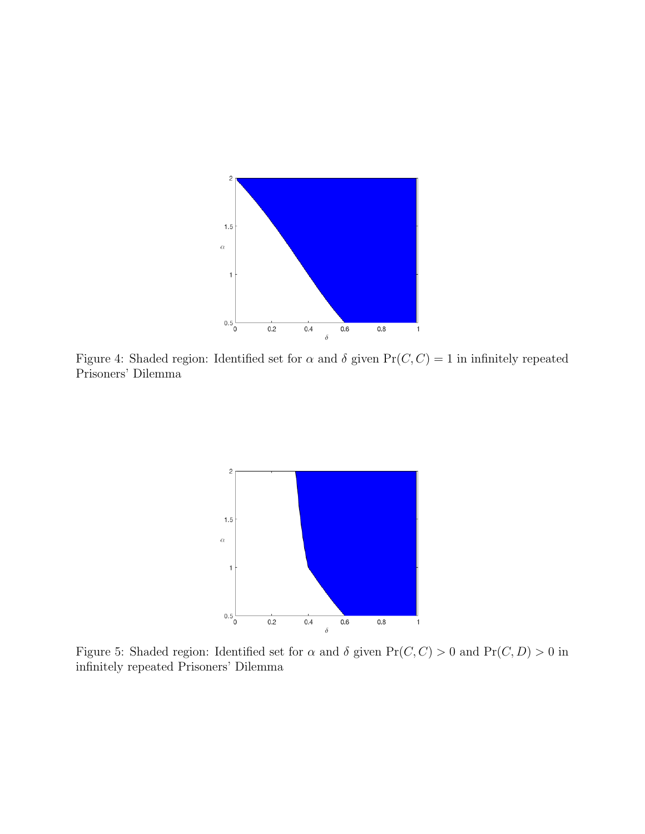

<span id="page-6-0"></span>Figure 4: Shaded region: Identified set for  $\alpha$  and  $\delta$  given  $Pr(C, C) = 1$  in infinitely repeated Prisoners' Dilemma



Figure 5: Shaded region: Identified set for  $\alpha$  and  $\delta$  given  $Pr(C, C) > 0$  and  $Pr(C, D) > 0$  in infinitely repeated Prisoners' Dilemma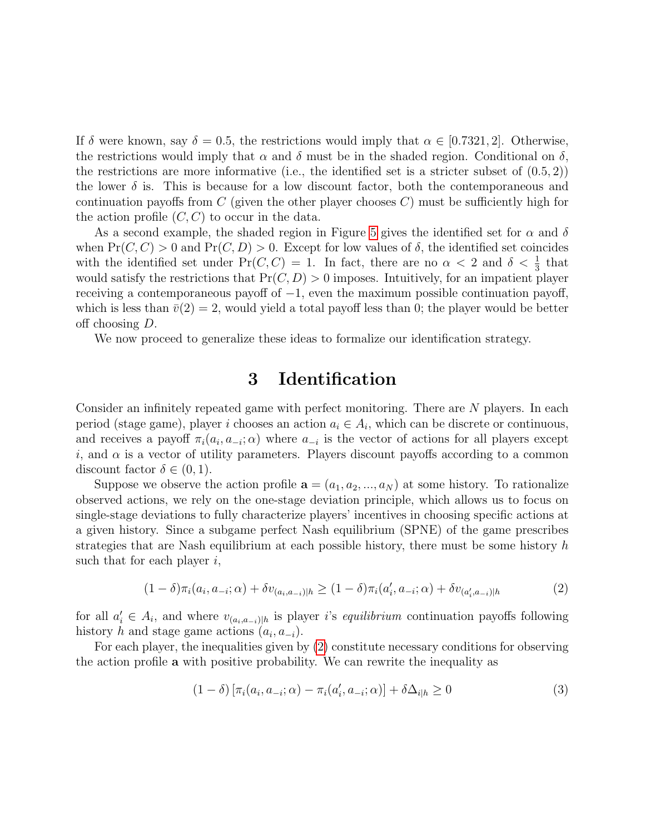If  $\delta$  were known, say  $\delta = 0.5$ , the restrictions would imply that  $\alpha \in [0.7321, 2]$ . Otherwise, the restrictions would imply that  $\alpha$  and  $\delta$  must be in the shaded region. Conditional on  $\delta$ , the restrictions are more informative (i.e., the identified set is a stricter subset of  $(0.5, 2)$ ) the lower  $\delta$  is. This is because for a low discount factor, both the contemporaneous and continuation payoffs from C (given the other player chooses  $C$ ) must be sufficiently high for the action profile  $(C, C)$  to occur in the data.

As a second example, the shaded region in Figure [5](#page-6-0) gives the identified set for  $\alpha$  and  $\delta$ when  $Pr(C, C) > 0$  and  $Pr(C, D) > 0$ . Except for low values of  $\delta$ , the identified set coincides with the identified set under  $Pr(C, C) = 1$ . In fact, there are no  $\alpha < 2$  and  $\delta < \frac{1}{3}$  that would satisfy the restrictions that  $Pr(C, D) > 0$  imposes. Intuitively, for an impatient player receiving a contemporaneous payoff of  $-1$ , even the maximum possible continuation payoff, which is less than  $\bar{v}(2) = 2$ , would yield a total payoff less than 0; the player would be better off choosing D.

<span id="page-7-1"></span>We now proceed to generalize these ideas to formalize our identification strategy.

### 3 Identification

Consider an infinitely repeated game with perfect monitoring. There are N players. In each period (stage game), player i chooses an action  $a_i \in A_i$ , which can be discrete or continuous, and receives a payoff  $\pi_i(a_i, a_{-i}; \alpha)$  where  $a_{-i}$  is the vector of actions for all players except i, and  $\alpha$  is a vector of utility parameters. Players discount payoffs according to a common discount factor  $\delta \in (0,1)$ .

Suppose we observe the action profile  $\mathbf{a} = (a_1, a_2, ..., a_N)$  at some history. To rationalize observed actions, we rely on the one-stage deviation principle, which allows us to focus on single-stage deviations to fully characterize players' incentives in choosing specific actions at a given history. Since a subgame perfect Nash equilibrium (SPNE) of the game prescribes strategies that are Nash equilibrium at each possible history, there must be some history  $h$ such that for each player  $i$ ,

<span id="page-7-0"></span>
$$
(1 - \delta)\pi_i(a_i, a_{-i}; \alpha) + \delta v_{(a_i, a_{-i})|h} \ge (1 - \delta)\pi_i(a'_i, a_{-i}; \alpha) + \delta v_{(a'_i, a_{-i})|h}
$$
(2)

for all  $a'_i \in A_i$ , and where  $v_{(a_i,a_{-i})|h}$  is player i's equilibrium continuation payoffs following history h and stage game actions  $(a_i, a_{-i})$ .

For each player, the inequalities given by [\(2\)](#page-7-0) constitute necessary conditions for observing the action profile a with positive probability. We can rewrite the inequality as

$$
(1 - \delta) \left[ \pi_i(a_i, a_{-i}; \alpha) - \pi_i(a'_i, a_{-i}; \alpha) \right] + \delta \Delta_{i|h} \ge 0
$$
\n(3)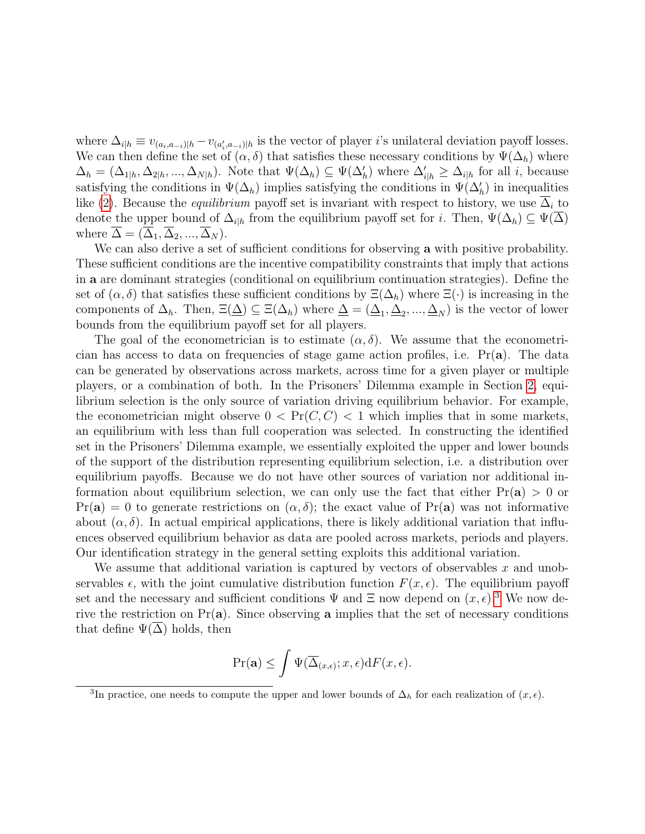where  $\Delta_{i|h} \equiv v_{(a_i,a_{-i})|h} - v_{(a_i',a_{-i})|h}$  is the vector of player *i*'s unilateral deviation payoff losses. We can then define the set of  $(\alpha, \delta)$  that satisfies these necessary conditions by  $\Psi(\Delta_h)$  where  $\Delta_h = (\Delta_{1|h}, \Delta_{2|h}, ..., \Delta_{N|h})$ . Note that  $\Psi(\Delta_h) \subseteq \Psi(\Delta_h')$  where  $\Delta_{i|h} \geq \Delta_{i|h}$  for all i, because satisfying the conditions in  $\Psi(\Delta_h)$  implies satisfying the conditions in  $\Psi(\Delta'_h)$  in inequalities like [\(2\)](#page-7-0). Because the *equilibrium* payoff set is invariant with respect to history, we use  $\Delta_i$  to denote the upper bound of  $\Delta_{i|h}$  from the equilibrium payoff set for i. Then,  $\Psi(\Delta_h) \subseteq \Psi(\overline{\Delta})$ where  $\Delta = (\Delta_1, \Delta_2, ..., \Delta_N)$ .

We can also derive a set of sufficient conditions for observing a with positive probability. These sufficient conditions are the incentive compatibility constraints that imply that actions in a are dominant strategies (conditional on equilibrium continuation strategies). Define the set of  $(\alpha, \delta)$  that satisfies these sufficient conditions by  $\Xi(\Delta_h)$  where  $\Xi(\cdot)$  is increasing in the components of  $\Delta_h$ . Then,  $\Xi(\underline{\Delta}) \subseteq \Xi(\Delta_h)$  where  $\underline{\Delta} = (\underline{\Delta}_1, \underline{\Delta}_2, ..., \underline{\Delta}_N)$  is the vector of lower bounds from the equilibrium payoff set for all players.

The goal of the econometrician is to estimate  $(\alpha, \delta)$ . We assume that the econometrician has access to data on frequencies of stage game action profiles, i.e.  $Pr(a)$ . The data can be generated by observations across markets, across time for a given player or multiple players, or a combination of both. In the Prisoners' Dilemma example in Section [2,](#page-2-0) equilibrium selection is the only source of variation driving equilibrium behavior. For example, the econometrician might observe  $0 < \Pr(C, C) < 1$  which implies that in some markets, an equilibrium with less than full cooperation was selected. In constructing the identified set in the Prisoners' Dilemma example, we essentially exploited the upper and lower bounds of the support of the distribution representing equilibrium selection, i.e. a distribution over equilibrium payoffs. Because we do not have other sources of variation nor additional information about equilibrium selection, we can only use the fact that either  $Pr(a) > 0$  or Pr(a) = 0 to generate restrictions on  $(\alpha, \delta)$ ; the exact value of Pr(a) was not informative about  $(\alpha, \delta)$ . In actual empirical applications, there is likely additional variation that influences observed equilibrium behavior as data are pooled across markets, periods and players. Our identification strategy in the general setting exploits this additional variation.

We assume that additional variation is captured by vectors of observables  $x$  and unobservables  $\epsilon$ , with the joint cumulative distribution function  $F(x, \epsilon)$ . The equilibrium payoff set and the necessary and sufficient conditions  $\Psi$  and  $\Xi$  now depend on  $(x, \epsilon)$ .<sup>[3](#page-8-0)</sup> We now derive the restriction on  $Pr(a)$ . Since observing a implies that the set of necessary conditions that define  $\Psi(\Delta)$  holds, then

$$
\Pr(\mathbf{a}) \le \int \Psi(\overline{\Delta}_{(x,\epsilon)}; x, \epsilon) dF(x, \epsilon).
$$

<span id="page-8-0"></span><sup>&</sup>lt;sup>3</sup>In practice, one needs to compute the upper and lower bounds of  $\Delta_h$  for each realization of  $(x, \epsilon)$ .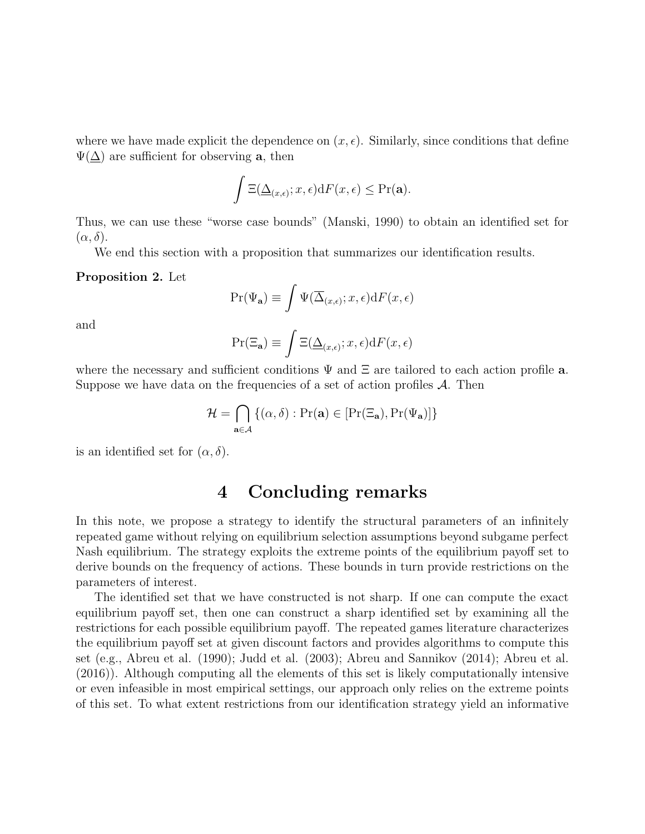where we have made explicit the dependence on  $(x, \epsilon)$ . Similarly, since conditions that define  $\Psi(\Delta)$  are sufficient for observing **a**, then

$$
\int \Xi(\underline{\Delta}_{(x,\epsilon)};x,\epsilon) \mathrm{d}F(x,\epsilon) \leq \Pr(\mathbf{a}).
$$

Thus, we can use these "worse case bounds" (Manski, 1990) to obtain an identified set for  $(\alpha, \delta).$ 

We end this section with a proposition that summarizes our identification results.

#### Proposition 2. Let

$$
\Pr(\Psi_{\mathbf{a}}) \equiv \int \Psi(\overline{\Delta}_{(x,\epsilon)}; x, \epsilon) dF(x, \epsilon)
$$

and

$$
\Pr(\Xi_{\mathbf{a}}) \equiv \int \Xi(\underline{\Delta}_{(x,\epsilon)}; x, \epsilon) dF(x, \epsilon)
$$

where the necessary and sufficient conditions  $\Psi$  and  $\Xi$  are tailored to each action profile **a**. Suppose we have data on the frequencies of a set of action profiles  $A$ . Then

$$
\mathcal{H} = \bigcap_{\mathbf{a} \in \mathcal{A}} \{ (\alpha, \delta) : \Pr(\mathbf{a}) \in [\Pr(\Xi_\mathbf{a}), \Pr(\Psi_\mathbf{a})] \}
$$

is an identified set for  $(\alpha, \delta)$ .

# 4 Concluding remarks

In this note, we propose a strategy to identify the structural parameters of an infinitely repeated game without relying on equilibrium selection assumptions beyond subgame perfect Nash equilibrium. The strategy exploits the extreme points of the equilibrium payoff set to derive bounds on the frequency of actions. These bounds in turn provide restrictions on the parameters of interest.

The identified set that we have constructed is not sharp. If one can compute the exact equilibrium payoff set, then one can construct a sharp identified set by examining all the restrictions for each possible equilibrium payoff. The repeated games literature characterizes the equilibrium payoff set at given discount factors and provides algorithms to compute this set (e.g., Abreu et al. (1990); Judd et al. (2003); Abreu and Sannikov (2014); Abreu et al. (2016)). Although computing all the elements of this set is likely computationally intensive or even infeasible in most empirical settings, our approach only relies on the extreme points of this set. To what extent restrictions from our identification strategy yield an informative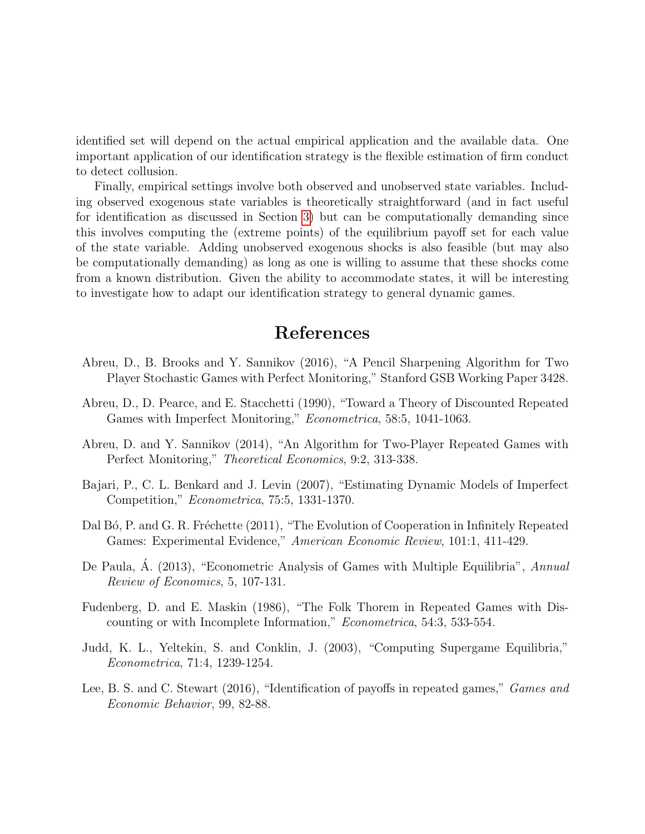identified set will depend on the actual empirical application and the available data. One important application of our identification strategy is the flexible estimation of firm conduct to detect collusion.

Finally, empirical settings involve both observed and unobserved state variables. Including observed exogenous state variables is theoretically straightforward (and in fact useful for identification as discussed in Section [3\)](#page-7-1) but can be computationally demanding since this involves computing the (extreme points) of the equilibrium payoff set for each value of the state variable. Adding unobserved exogenous shocks is also feasible (but may also be computationally demanding) as long as one is willing to assume that these shocks come from a known distribution. Given the ability to accommodate states, it will be interesting to investigate how to adapt our identification strategy to general dynamic games.

# References

- Abreu, D., B. Brooks and Y. Sannikov (2016), "A Pencil Sharpening Algorithm for Two Player Stochastic Games with Perfect Monitoring," Stanford GSB Working Paper 3428.
- Abreu, D., D. Pearce, and E. Stacchetti (1990), "Toward a Theory of Discounted Repeated Games with Imperfect Monitoring," Econometrica, 58:5, 1041-1063.
- Abreu, D. and Y. Sannikov (2014), "An Algorithm for Two-Player Repeated Games with Perfect Monitoring," Theoretical Economics, 9:2, 313-338.
- Bajari, P., C. L. Benkard and J. Levin (2007), "Estimating Dynamic Models of Imperfect Competition," Econometrica, 75:5, 1331-1370.
- Dal Bó, P. and G. R. Fréchette (2011), "The Evolution of Cooperation in Infinitely Repeated Games: Experimental Evidence," American Economic Review, 101:1, 411-429.
- De Paula, A. (2013), "Econometric Analysis of Games with Multiple Equilibria", Annual Review of Economics, 5, 107-131.
- Fudenberg, D. and E. Maskin (1986), "The Folk Thorem in Repeated Games with Discounting or with Incomplete Information," Econometrica, 54:3, 533-554.
- Judd, K. L., Yeltekin, S. and Conklin, J. (2003), "Computing Supergame Equilibria," Econometrica, 71:4, 1239-1254.
- Lee, B. S. and C. Stewart (2016), "Identification of payoffs in repeated games," *Games and* Economic Behavior, 99, 82-88.